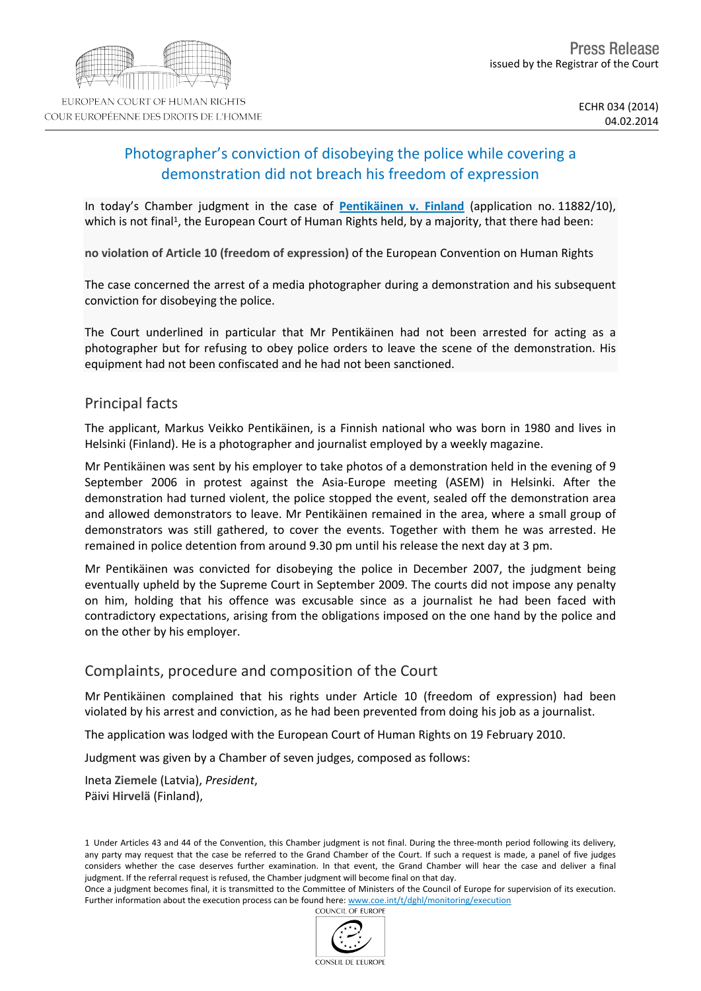# Photographer's conviction of disobeying the police while covering a demonstration did not breach his freedom of expression

In today's Chamber judgment in the case of **[Pentikäinen](http://hudoc.echr.coe.int/sites/eng/pages/search.aspx?i=001-140395) [v.](http://hudoc.echr.coe.int/sites/eng/pages/search.aspx?i=001-140395) [Finland](http://hudoc.echr.coe.int/sites/eng/pages/search.aspx?i=001-140395)** (application no. 11882/10), which is not final<sup>1</sup>, the European Court of Human Rights held, by a majority, that there had been:

**no violation of Article 10 (freedom of expression)** of the European Convention on Human Rights

The case concerned the arrest of a media photographer during a demonstration and his subsequent conviction for disobeying the police.

The Court underlined in particular that Mr Pentikäinen had not been arrested for acting as a photographer but for refusing to obey police orders to leave the scene of the demonstration. His equipment had not been confiscated and he had not been sanctioned.

# Principal facts

The applicant, Markus Veikko Pentikäinen, is a Finnish national who was born in 1980 and lives in Helsinki (Finland). He is a photographer and journalist employed by a weekly magazine.

Mr Pentikäinen was sent by his employer to take photos of a demonstration held in the evening of 9 September 2006 in protest against the Asia-Europe meeting (ASEM) in Helsinki. After the demonstration had turned violent, the police stopped the event, sealed off the demonstration area and allowed demonstrators to leave. Mr Pentikäinen remained in the area, where a small group of demonstrators was still gathered, to cover the events. Together with them he was arrested. He remained in police detention from around 9.30 pm until his release the next day at 3 pm.

Mr Pentikäinen was convicted for disobeying the police in December 2007, the judgment being eventually upheld by the Supreme Court in September 2009. The courts did not impose any penalty on him, holding that his offence was excusable since as a journalist he had been faced with contradictory expectations, arising from the obligations imposed on the one hand by the police and on the other by his employer.

### Complaints, procedure and composition of the Court

Mr Pentikäinen complained that his rights under Article 10 (freedom of expression) had been violated by his arrest and conviction, as he had been prevented from doing his job as a journalist.

The application was lodged with the European Court of Human Rights on 19 February 2010.

Judgment was given by a Chamber of seven judges, composed as follows:

Ineta **Ziemele** (Latvia), *President*, Päivi **Hirvelä** (Finland),

1 Under Articles 43 and 44 of the Convention, this Chamber judgment is not final. During the three-month period following its delivery, any party may request that the case be referred to the Grand Chamber of the Court. If such a request is made, a panel of five judges considers whether the case deserves further examination. In that event, the Grand Chamber will hear the case and deliver a final judgment. If the referral request is refused, the Chamber judgment will become final on that day.

Once a judgment becomes final, it is transmitted to the Committee of Ministers of the Council of Europe for supervision of its execution. Further information about the execution process can be found here: [www.coe.int/t/dghl/monitoring/execution](http://www.coe.int/t/dghl/monitoring/execution) COLINCIL OF EUROPE

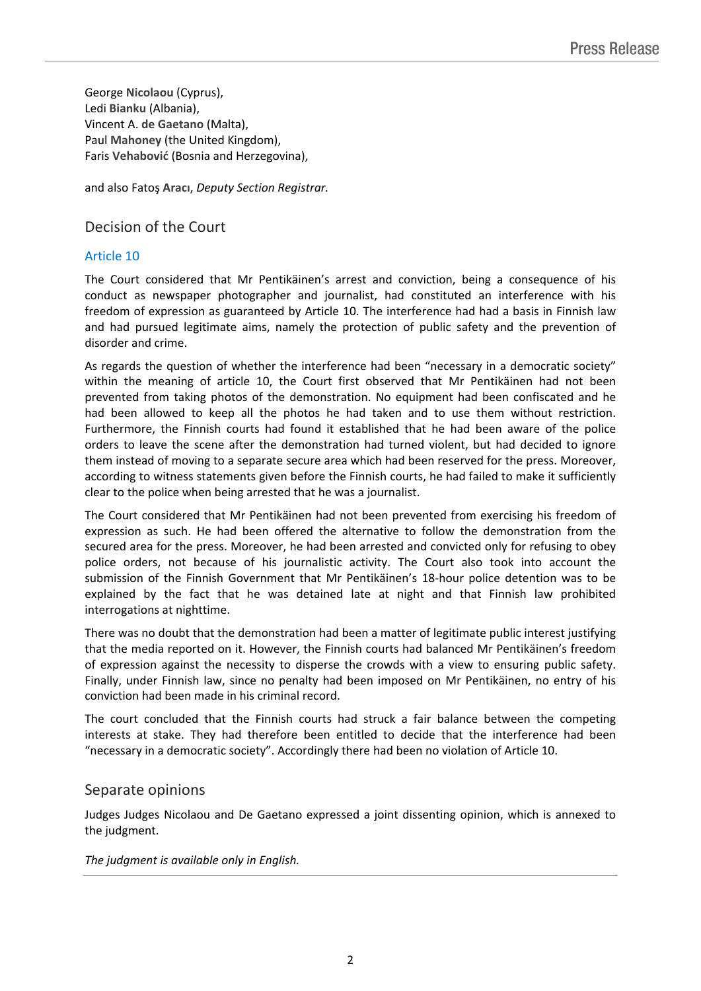George **Nicolaou** (Cyprus), Ledi **Bianku** (Albania), Vincent A. **de Gaetano** (Malta), Paul **Mahoney** (the United Kingdom), Faris **Vehabović** (Bosnia and Herzegovina),

and also Fatoş **Aracı**, *Deputy Section Registrar.*

# Decision of the Court

### Article 10

The Court considered that Mr Pentikäinen's arrest and conviction, being a consequence of his conduct as newspaper photographer and journalist, had constituted an interference with his freedom of expression as guaranteed by Article 10. The interference had had a basis in Finnish law and had pursued legitimate aims, namely the protection of public safety and the prevention of disorder and crime.

As regards the question of whether the interference had been "necessary in a democratic society" within the meaning of article 10, the Court first observed that Mr Pentikäinen had not been prevented from taking photos of the demonstration. No equipment had been confiscated and he had been allowed to keep all the photos he had taken and to use them without restriction. Furthermore, the Finnish courts had found it established that he had been aware of the police orders to leave the scene after the demonstration had turned violent, but had decided to ignore them instead of moving to a separate secure area which had been reserved for the press. Moreover, according to witness statements given before the Finnish courts, he had failed to make it sufficiently clear to the police when being arrested that he was a journalist.

The Court considered that Mr Pentikäinen had not been prevented from exercising his freedom of expression as such. He had been offered the alternative to follow the demonstration from the secured area for the press. Moreover, he had been arrested and convicted only for refusing to obey police orders, not because of his journalistic activity. The Court also took into account the submission of the Finnish Government that Mr Pentikäinen's 18-hour police detention was to be explained by the fact that he was detained late at night and that Finnish law prohibited interrogations at nighttime.

There was no doubt that the demonstration had been a matter of legitimate public interest justifying that the media reported on it. However, the Finnish courts had balanced Mr Pentikäinen's freedom of expression against the necessity to disperse the crowds with a view to ensuring public safety. Finally, under Finnish law, since no penalty had been imposed on Mr Pentikäinen, no entry of his conviction had been made in his criminal record.

The court concluded that the Finnish courts had struck a fair balance between the competing interests at stake. They had therefore been entitled to decide that the interference had been "necessary in a democratic society". Accordingly there had been no violation of Article 10.

#### Separate opinions

Judges Judges Nicolaou and De Gaetano expressed a joint dissenting opinion, which is annexed to the judgment.

*The judgment is available only in English.*